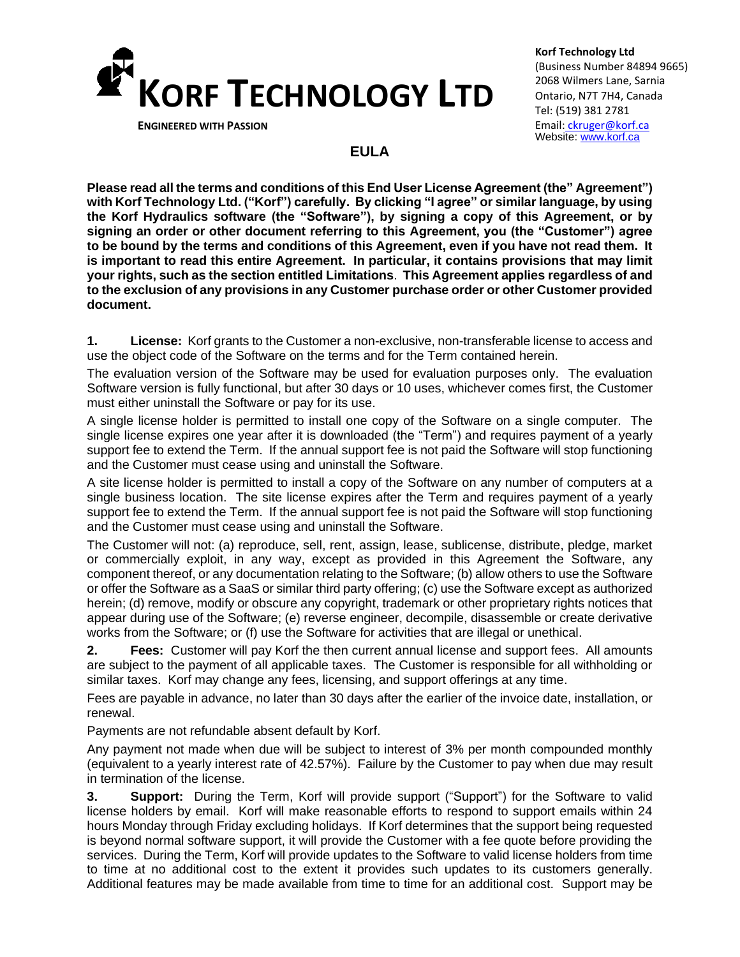

**ENGINEERED WITH PASSION**

**Korf Technology Ltd** (Business Number 84894 9665) 2068 Wilmers Lane, Sarnia Ontario, N7T 7H4, Canada Tel: (519) 381 2781 Email: [ckruger@korf.ca](mailto:ckruger@korf.ca) Website: [www.korf.ca](http://www.korf.ca/)

## **EULA**

**Please read all the terms and conditions of this End User License Agreement (the" Agreement") with Korf Technology Ltd. ("Korf") carefully. By clicking "I agree" or similar language, by using the Korf Hydraulics software (the "Software"), by signing a copy of this Agreement, or by signing an order or other document referring to this Agreement, you (the "Customer") agree to be bound by the terms and conditions of this Agreement, even if you have not read them. It is important to read this entire Agreement. In particular, it contains provisions that may limit your rights, such as the section entitled Limitations**. **This Agreement applies regardless of and to the exclusion of any provisions in any Customer purchase order or other Customer provided document.**

**1. License:** Korf grants to the Customer a non-exclusive, non-transferable license to access and use the object code of the Software on the terms and for the Term contained herein.

The evaluation version of the Software may be used for evaluation purposes only. The evaluation Software version is fully functional, but after 30 days or 10 uses, whichever comes first, the Customer must either uninstall the Software or pay for its use.

A single license holder is permitted to install one copy of the Software on a single computer. The single license expires one year after it is downloaded (the "Term") and requires payment of a yearly support fee to extend the Term. If the annual support fee is not paid the Software will stop functioning and the Customer must cease using and uninstall the Software.

A site license holder is permitted to install a copy of the Software on any number of computers at a single business location. The site license expires after the Term and requires payment of a yearly support fee to extend the Term. If the annual support fee is not paid the Software will stop functioning and the Customer must cease using and uninstall the Software.

The Customer will not: (a) reproduce, sell, rent, assign, lease, sublicense, distribute, pledge, market or commercially exploit, in any way, except as provided in this Agreement the Software, any component thereof, or any documentation relating to the Software; (b) allow others to use the Software or offer the Software as a SaaS or similar third party offering; (c) use the Software except as authorized herein; (d) remove, modify or obscure any copyright, trademark or other proprietary rights notices that appear during use of the Software; (e) reverse engineer, decompile, disassemble or create derivative works from the Software; or (f) use the Software for activities that are illegal or unethical.

**2. Fees:** Customer will pay Korf the then current annual license and support fees. All amounts are subject to the payment of all applicable taxes. The Customer is responsible for all withholding or similar taxes. Korf may change any fees, licensing, and support offerings at any time.

Fees are payable in advance, no later than 30 days after the earlier of the invoice date, installation, or renewal.

Payments are not refundable absent default by Korf.

Any payment not made when due will be subject to interest of 3% per month compounded monthly (equivalent to a yearly interest rate of 42.57%). Failure by the Customer to pay when due may result in termination of the license.

**3. Support:** During the Term, Korf will provide support ("Support") for the Software to valid license holders by email. Korf will make reasonable efforts to respond to support emails within 24 hours Monday through Friday excluding holidays. If Korf determines that the support being requested is beyond normal software support, it will provide the Customer with a fee quote before providing the services. During the Term, Korf will provide updates to the Software to valid license holders from time to time at no additional cost to the extent it provides such updates to its customers generally. Additional features may be made available from time to time for an additional cost. Support may be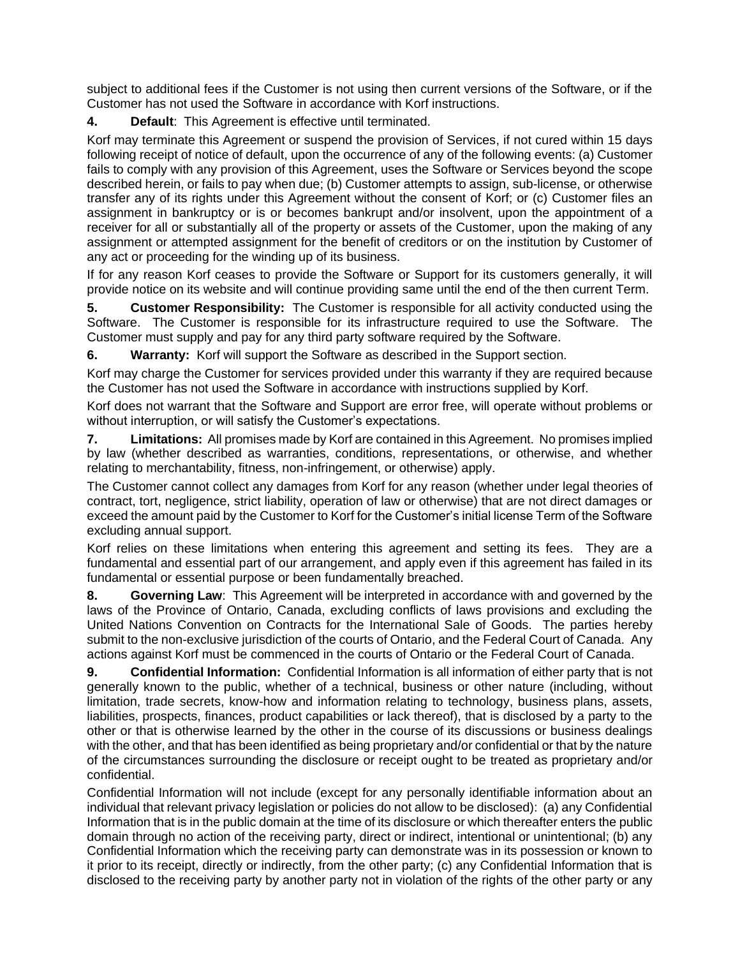subject to additional fees if the Customer is not using then current versions of the Software, or if the Customer has not used the Software in accordance with Korf instructions.

**4. Default**: This Agreement is effective until terminated.

Korf may terminate this Agreement or suspend the provision of Services, if not cured within 15 days following receipt of notice of default, upon the occurrence of any of the following events: (a) Customer fails to comply with any provision of this Agreement, uses the Software or Services beyond the scope described herein, or fails to pay when due; (b) Customer attempts to assign, sub-license, or otherwise transfer any of its rights under this Agreement without the consent of Korf; or (c) Customer files an assignment in bankruptcy or is or becomes bankrupt and/or insolvent, upon the appointment of a receiver for all or substantially all of the property or assets of the Customer, upon the making of any assignment or attempted assignment for the benefit of creditors or on the institution by Customer of any act or proceeding for the winding up of its business.

If for any reason Korf ceases to provide the Software or Support for its customers generally, it will provide notice on its website and will continue providing same until the end of the then current Term.

**5. Customer Responsibility:** The Customer is responsible for all activity conducted using the Software. The Customer is responsible for its infrastructure required to use the Software. The Customer must supply and pay for any third party software required by the Software.

**6. Warranty:** Korf will support the Software as described in the Support section.

Korf may charge the Customer for services provided under this warranty if they are required because the Customer has not used the Software in accordance with instructions supplied by Korf.

Korf does not warrant that the Software and Support are error free, will operate without problems or without interruption, or will satisfy the Customer's expectations.

**7. Limitations:** All promises made by Korf are contained in this Agreement. No promises implied by law (whether described as warranties, conditions, representations, or otherwise, and whether relating to merchantability, fitness, non-infringement, or otherwise) apply.

The Customer cannot collect any damages from Korf for any reason (whether under legal theories of contract, tort, negligence, strict liability, operation of law or otherwise) that are not direct damages or exceed the amount paid by the Customer to Korf for the Customer's initial license Term of the Software excluding annual support.

Korf relies on these limitations when entering this agreement and setting its fees. They are a fundamental and essential part of our arrangement, and apply even if this agreement has failed in its fundamental or essential purpose or been fundamentally breached.

**8. Governing Law**: This Agreement will be interpreted in accordance with and governed by the laws of the Province of Ontario, Canada, excluding conflicts of laws provisions and excluding the United Nations Convention on Contracts for the International Sale of Goods. The parties hereby submit to the non-exclusive jurisdiction of the courts of Ontario, and the Federal Court of Canada. Any actions against Korf must be commenced in the courts of Ontario or the Federal Court of Canada.

**9. Confidential Information:** Confidential Information is all information of either party that is not generally known to the public, whether of a technical, business or other nature (including, without limitation, trade secrets, know-how and information relating to technology, business plans, assets, liabilities, prospects, finances, product capabilities or lack thereof), that is disclosed by a party to the other or that is otherwise learned by the other in the course of its discussions or business dealings with the other, and that has been identified as being proprietary and/or confidential or that by the nature of the circumstances surrounding the disclosure or receipt ought to be treated as proprietary and/or confidential.

Confidential Information will not include (except for any personally identifiable information about an individual that relevant privacy legislation or policies do not allow to be disclosed): (a) any Confidential Information that is in the public domain at the time of its disclosure or which thereafter enters the public domain through no action of the receiving party, direct or indirect, intentional or unintentional; (b) any Confidential Information which the receiving party can demonstrate was in its possession or known to it prior to its receipt, directly or indirectly, from the other party; (c) any Confidential Information that is disclosed to the receiving party by another party not in violation of the rights of the other party or any